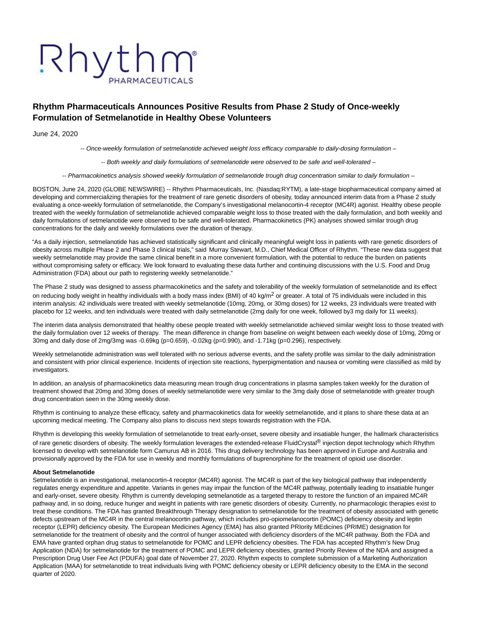# Rhythm PHARMACEUTICALS

## **Rhythm Pharmaceuticals Announces Positive Results from Phase 2 Study of Once-weekly Formulation of Setmelanotide in Healthy Obese Volunteers**

June 24, 2020

-- Once-weekly formulation of setmelanotide achieved weight loss efficacy comparable to daily-dosing formulation –

-- Both weekly and daily formulations of setmelanotide were observed to be safe and well-tolerated –

-- Pharmacokinetics analysis showed weekly formulation of setmelanotide trough drug concentration similar to daily formulation –

BOSTON, June 24, 2020 (GLOBE NEWSWIRE) -- Rhythm Pharmaceuticals, Inc. (Nasdaq:RYTM), a late-stage biopharmaceutical company aimed at developing and commercializing therapies for the treatment of rare genetic disorders of obesity, today announced interim data from a Phase 2 study evaluating a once-weekly formulation of setmelanotide, the Company's investigational melanocortin-4 receptor (MC4R) agonist. Healthy obese people treated with the weekly formulation of setmelanotide achieved comparable weight loss to those treated with the daily formulation, and both weekly and daily formulations of setmelanotide were observed to be safe and well-tolerated. Pharmacokinetics (PK) analyses showed similar trough drug concentrations for the daily and weekly formulations over the duration of therapy.

"As a daily injection, setmelanotide has achieved statistically significant and clinically meaningful weight loss in patients with rare genetic disorders of obesity across multiple Phase 2 and Phase 3 clinical trials," said Murray Stewart, M.D., Chief Medical Officer of Rhythm. "These new data suggest that weekly setmelanotide may provide the same clinical benefit in a more convenient formulation, with the potential to reduce the burden on patients without compromising safety or efficacy. We look forward to evaluating these data further and continuing discussions with the U.S. Food and Drug Administration (FDA) about our path to registering weekly setmelanotide."

The Phase 2 study was designed to assess pharmacokinetics and the safety and tolerability of the weekly formulation of setmelanotide and its effect on reducing body weight in healthy individuals with a body mass index (BMI) of 40 kg/m<sup>2</sup> or greater. A total of 75 individuals were included in this interim analysis: 42 individuals were treated with weekly setmelanotide (10mg, 20mg, or 30mg doses) for 12 weeks, 23 individuals were treated with placebo for 12 weeks, and ten individuals were treated with daily setmelanotide (2mg daily for one week, followed by3 mg daily for 11 weeks).

The interim data analysis demonstrated that healthy obese people treated with weekly setmelanotide achieved similar weight loss to those treated with the daily formulation over 12 weeks of therapy. The mean difference in change from baseline on weight between each weekly dose of 10mg, 20mg or 30mg and daily dose of 2mg/3mg was -0.69kg (p=0.659), -0.02kg (p=0.990), and -1.71kg (p=0.296), respectively.

Weekly setmelanotide administration was well tolerated with no serious adverse events, and the safety profile was similar to the daily administration and consistent with prior clinical experience. Incidents of injection site reactions, hyperpigmentation and nausea or vomiting were classified as mild by investigators.

In addition, an analysis of pharmacokinetics data measuring mean trough drug concentrations in plasma samples taken weekly for the duration of treatment showed that 20mg and 30mg doses of weekly setmelanotide were very similar to the 3mg daily dose of setmelanotide with greater trough drug concentration seen in the 30mg weekly dose.

Rhythm is continuing to analyze these efficacy, safety and pharmacokinetics data for weekly setmelanotide, and it plans to share these data at an upcoming medical meeting. The Company also plans to discuss next steps towards registration with the FDA.

Rhythm is developing this weekly formulation of setmelanotide to treat early-onset, severe obesity and insatiable hunger, the hallmark characteristics of rare genetic disorders of obesity. The weekly formulation leverages the extended-release FluidCrystal® injection depot technology which Rhythm licensed to develop with setmelanotide form Camurus AB in 2016. This drug delivery technology has been approved in Europe and Australia and provisionally approved by the FDA for use in weekly and monthly formulations of buprenorphine for the treatment of opioid use disorder.

### **About Setmelanotide**

Setmelanotide is an investigational, melanocortin-4 receptor (MC4R) agonist. The MC4R is part of the key biological pathway that independently regulates energy expenditure and appetite. Variants in genes may impair the function of the MC4R pathway, potentially leading to insatiable hunger and early-onset, severe obesity. Rhythm is currently developing setmelanotide as a targeted therapy to restore the function of an impaired MC4R pathway and, in so doing, reduce hunger and weight in patients with rare genetic disorders of obesity. Currently, no pharmacologic therapies exist to treat these conditions. The FDA has granted Breakthrough Therapy designation to setmelanotide for the treatment of obesity associated with genetic defects upstream of the MC4R in the central melanocortin pathway, which includes pro-opiomelanocortin (POMC) deficiency obesity and leptin receptor (LEPR) deficiency obesity. The European Medicines Agency (EMA) has also granted PRIority MEdicines (PRIME) designation for setmelanotide for the treatment of obesity and the control of hunger associated with deficiency disorders of the MC4R pathway. Both the FDA and EMA have granted orphan drug status to setmelanotide for POMC and LEPR deficiency obesities. The FDA has accepted Rhythm's New Drug Application (NDA) for setmelanotide for the treatment of POMC and LEPR deficiency obesities, granted Priority Review of the NDA and assigned a Prescription Drug User Fee Act (PDUFA) goal date of November 27, 2020. Rhythm expects to complete submission of a Marketing Authorization Application (MAA) for setmelanotide to treat individuals living with POMC deficiency obesity or LEPR deficiency obesity to the EMA in the second quarter of 2020.